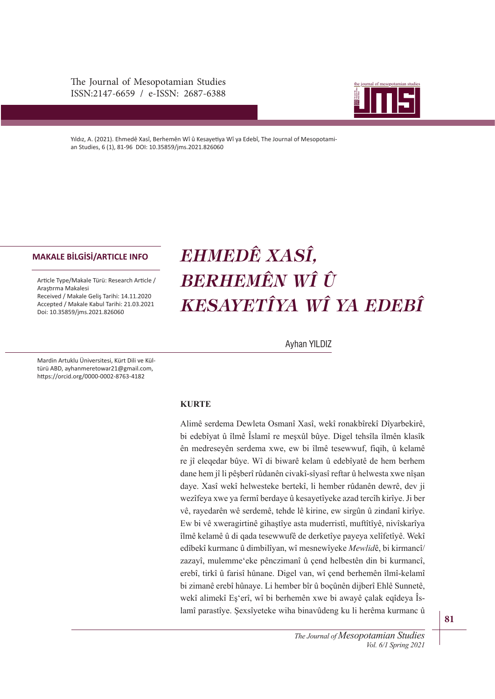The Journal of Mesopotamian Studies ISSN:2147-6659 / e-ISSN: 2687-6388



Yıldız, A. (2021). Ehmedê Xasî, Berhemên Wî û Kesayetiya Wî ya Edebî, The Journal of Mesopotamian Studies, 6 (1), 81-96 DOI: 10.35859/jms.2021.826060

## **MAKALE BİLGİSİ/ARTICLE INFO**

Article Type/Makale Türü: Research Article / Araştrma Makalesi Received / Makale Geliş Tarihi: 14.11.2020 Accepted / Makale Kabul Tarihi: 21.03.2021 Doi: 10.35859/jms.2021.826060

# *EHMEDÊ XASÎ, BERHEMÊN WÎ Û KESAYETÎYA WÎ YA EDEBÎ*

Ayhan YILDIZ

Mardin Artuklu Üniversitesi, Kürt Dili ve Kültürü ABD, ayhanmeretowar21@gmail.com, htps://orcid.org/0000-0002-8763-4182

# **.857(**

Alimê serdema Dewleta Osmanî Xasî, wekî ronakbîrekî Dîyarbekirê, bi edebîyat û îlmê Îslamî re meşxûl bûye. Digel tehsîla îlmên klasîk ên medreseyên serdema xwe, ew bi îlmê tesewwuf, fiqih, û kelamê re jî eleqedar bûye. Wî di biwarê kelam û edebîyatê de hem berhem dane hem jî li pêşberî rûdanên civakî-sîyasî reftar û helwesta xwe nîşan daye. Xasî wekî helwesteke bertekî, li hember rûdanên dewrê, dev ji wezîfeya xwe ya fermî berdaye û kesayetîyeke azad tercîh kirîye. Ji ber vê, rayedarên wê serdemê, tehde lê kirine, ew sirgûn û zindanî kirîye. Ew bi vê xweragirtinê gihaştîye asta muderristî, muftîtîyê, nivîskarîya îlmê kelamê û di qada tesewwufê de derketîye payeya xelîfetîyê. Wekî edîbekî kurmanc û dimbilîyan, wî mesnewîyeke Mewlidê, bi kirmancî/ zazayî, mulemme'eke pênczimanî û çend helbestên din bi kurmancî, erebî, tirkî û farisî hûnane. Digel van, wî çend berhemên îlmî-kelamî bi zimanê erebî hûnaye. Li hember bîr û boçûnên dijberî Ehlê Sunnetê, wekî alimekî Eş'erî, wî bi berhemên xwe bi awayê çalak eqîdeya Îslamî parastîye. Şexsîyeteke wiha binavûdeng ku li herêma kurmanc û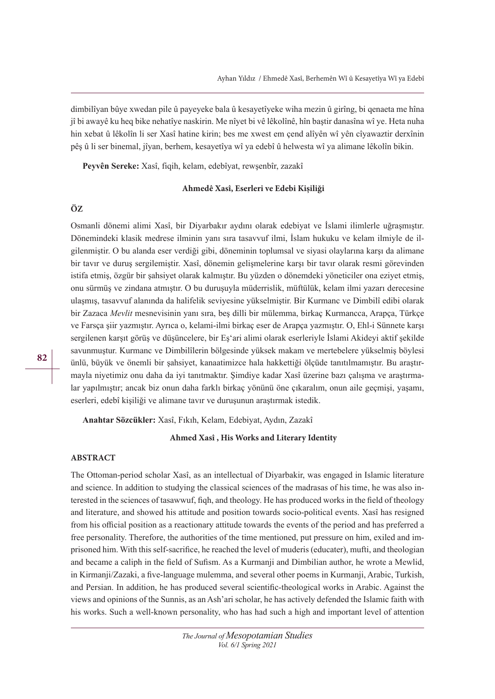dimbilîyan bûye xwedan pile û payeyeke bala û kesayetîyeke wiha mezin û girîng, bi qenaeta me hîna jî bi awayê ku heq bike nehatîye naskirin. Me nîyet bi vê lêkolînê, hîn baştir danasîna wî ye. Heta nuha hin xebat û lêkolîn li ser Xasî hatine kirin; bes me xwest em çend alîyên wî yên cîyawaztir derxînin pêş û li ser binemal, jîyan, berhem, kesayetîya wî ya edebî û helwesta wî ya alimane lêkolîn bikin.

Peyvên Sereke: Xasî, fiqih, kelam, edebîyat, rewşenbîr, zazakî

#### **Ahmedê Xasî, Eserleri ve Edebi Kişiliği**

# **ÖZ**

Osmanli dönemi alimi Xasî, bir Diyarbakır aydını olarak edebiyat ve İslami ilimlerle uğraşmıştır. Dönemindeki klasik medrese ilminin yanı sıra tasavvuf ilmi, İslam hukuku ve kelam ilmiyle de ilgilenmiştir. O bu alanda eser verdiği gibi, döneminin toplumsal ve siyasi olaylarına karşı da alimane bir tavır ve duruş sergilemiştir. Xasî, dönemin gelişmelerine karşı bir tavır olarak resmi görevinden istifa etmiş, özgür bir şahsiyet olarak kalmıştır. Bu yüzden o dönemdeki yöneticiler ona eziyet etmiş, onu sürmüş ve zindana atmıştır. O bu duruşuyla müderrislik, müftülük, kelam ilmi yazarı derecesine ulaşmış, tasavvuf alanında da halifelik seviyesine yükselmiştir. Bir Kurmanc ve Dimbilî edibi olarak bir Zazaca *MeYlit* mesnevisinin yanı sıra, beş dilli bir mülemma, birkaç Kurmancca, Arapça, Türkçe ve Farsça şiir yazmıştır. Ayrıca o, kelami-ilmi birkaç eser de Arapça yazmıştır. O, Ehl-i Sünnete karşı sergilenen karşıt görüş ve düşüncelere, bir Eş'ari alimi olarak eserleriyle İslami Akideyi aktif şekilde savunmuştur. Kurmanc ve Dimbilîlerin bölgesinde yüksek makam ve mertebelere yükselmiş böylesi ünlü, büyük ve önemli bir şahsiyet, kanaatimizce hala hakkettiği ölçüde tanıtılmamıştır. Bu araştırmayla niyetimiz onu daha da iyi tanıtmaktır. Şimdiye kadar Xasî üzerine bazı çalışma ve araştırmalar yapılmıştır; ancak biz onun daha farklı birkaç yönünü öne çıkaralım, onun aile geçmişi, yaşamı, eserleri, edebî kişiliği ve alimane tavır ve duruşunun araştırmak istedik.

**Anahtar Sözcükler:** Xasî, Fıkıh, Kelam, Edebiyat, Aydın, Zazakî

## **Ahmed Xasî , His Works and Literary Identity**

## **ABSTRACT**

The Ottoman-period scholar Xasî, as an intellectual of Diyarbakir, was engaged in Islamic literature and science. In addition to studying the classical sciences of the madrasas of his time, he was also interested in the sciences of tasawwuf, fqh, and theology. He has produced works in the feld of theology and literature, and showed his attitude and position towards socio-political events. Xasî has resigned from his official position as a reactionary attitude towards the events of the period and has preferred a free personality. Therefore, the authorities of the time mentioned, put pressure on him, exiled and imprisoned him. With this self-sacrifce, he reached the level of muderis (educater), mufti, and theologian and became a caliph in the feld of Sufsm. As a Kurmanji and Dimbilian author, he wrote a Mewlid, in Kirmanji/Zazaki, a fve-language mulemma, and several other poems in Kurmanji, Arabic, Turkish, and Persian. In addition, he has produced several scientifc-theological works in Arabic. Against the views and opinions of the Sunnis, as an Ash'ari scholar, he has actively defended the Islamic faith with his works. Such a well-known personality, who has had such a high and important level of attention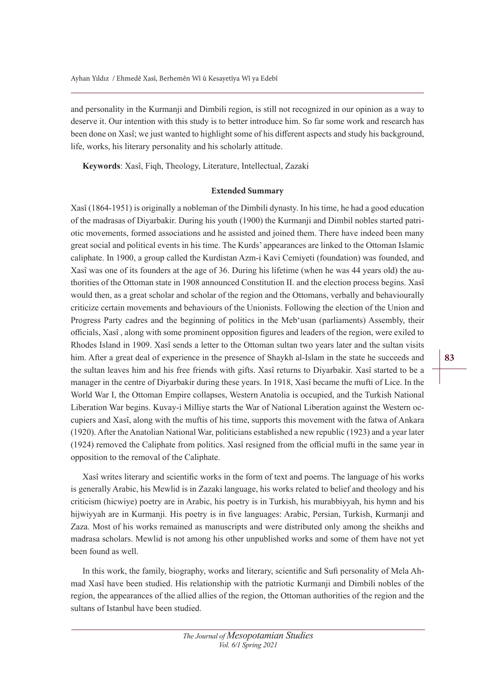and personality in the Kurmanji and Dimbili region, is still not recognized in our opinion as a way to deserve it. Our intention with this study is to better introduce him. So far some work and research has been done on Xasî; we just wanted to highlight some of his diferent aspects and study his background, life, works, his literary personality and his scholarly attitude.

Keywords: Xasî, Fiqh, Theology, Literature, Intellectual, Zazaki

#### **Extended Summary**

Xasî (1864-1951) is originally a nobleman of the Dimbili dynasty. In his time, he had a good education of the madrasas of Diyarbakir. During his youth (1900) the Kurmanji and Dimbil nobles started patriotic movements, formed associations and he assisted and joined them. There have indeed been many great social and political events in his time. The Kurds' appearances are linked to the Ottoman Islamic caliphate. In 1900, a group called the Kurdistan Azm-i Kavi Cemiyeti (foundation) was founded, and Xasî was one of its founders at the age of 36. During his lifetime (when he was 44 years old) the authorities of the Ottoman state in 1908 announced Constitution II. and the election process begins. Xasî would then, as a great scholar and scholar of the region and the Ottomans, verbally and behaviourally criticize certain movements and behaviours of the Unionists. Following the election of the Union and Progress Party cadres and the beginning of politics in the Meb'usan (parliaments) Assembly, their officials, Xasî, along with some prominent opposition figures and leaders of the region, were exiled to Rhodes Island in 1909. Xasî sends a letter to the Ottoman sultan two years later and the sultan visits him. After a great deal of experience in the presence of Shaykh al-Islam in the state he succeeds and the sultan leaves him and his free friends with gifts. Xasî returns to Diyarbakir. Xasî started to be a manager in the centre of Diyarbakir during these years. In 1918, Xasî became the mufti of Lice. In the World War I, the Ottoman Empire collapses, Western Anatolia is occupied, and the Turkish National Liberation War begins. Kuvay-i Milliye starts the War of National Liberation against the Western occupiers and Xasî, along with the muftis of his time, supports this movement with the fatwa of Ankara (1920). After the Anatolian National War, politicians established a new republic (1923) and a year later  $(1924)$  removed the Caliphate from politics. Xasî resigned from the official mufti in the same year in opposition to the removal of the Caliphate.

Xasî writes literary and scientifc works in the form of text and poems. The language of his works is generally Arabic, his Mewlid is in Zazaki language, his works related to belief and theology and his criticism (hicwiye) poetry are in Arabic, his poetry is in Turkish, his murabbiyyah, his hymn and his hijwiyyah are in Kurmanji. His poetry is in fve languages: Arabic, Persian, Turkish, Kurmanji and Zaza. Most of his works remained as manuscripts and were distributed only among the sheikhs and madrasa scholars. Mewlid is not among his other unpublished works and some of them have not yet been found as well.

In this work, the family, biography, works and literary, scientifc and Suf personality of Mela Ahmad Xasî have been studied. His relationship with the patriotic Kurmanji and Dimbili nobles of the region, the appearances of the allied allies of the region, the Ottoman authorities of the region and the sultans of Istanbul have been studied.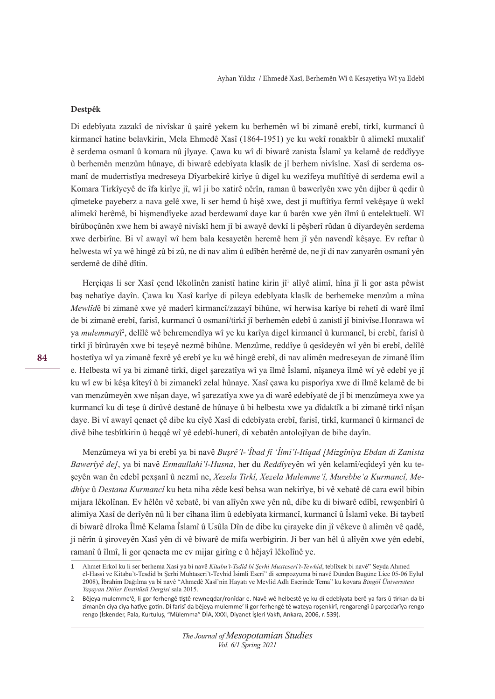## **Destpêk**

Di edebîyata zazakî de nivîskar û şairê yekem ku berhemên wî bi zimanê erebî, tirkî, kurmancî û kirmancî hatine belavkirin, Mela Ehmedê Xasî (1864-1951) ye ku wekî ronakbîr û alimekî muxalif ê serdema osmanî û komara nû jîyaye. Çawa ku wî di biwarê zanista Îslamî ya kelamê de reddîyye û berhemên menzûm hûnaye, di biwarê edebîyata klasîk de jî berhem nivîsîne. Xasî di serdema osmanî de muderristîya medreseya Dîyarbekirê kirîye û digel ku wezîfeya muftîtîyê di serdema ewil a Komara Tirkîyeyê de îfa kirîye jî, wî ji bo xatirê nêrîn, raman û bawerîyên xwe yên dijber û qedir û qîmeteke payeberz a nava gelê xwe, li ser hemd û hişê xwe, dest ji muftîtîya fermî vekêşaye û wekî alimekî herêmê, bi hişmendîyeke azad berdewamî daye kar û barên xwe yên îlmî û entelektuelî. Wî bîrûboçûnên xwe hem bi awayê nivîskî hem jî bi awayê devkî li pêşberî rûdan û dîyardeyên serdema xwe derbirîne. Bi vî awayî wî hem bala kesayetên heremê hem jî yên navendî kêşaye. Ev reftar û helwesta wî ya wê hingê zû bi zû, ne di nav alim û edîbên herêmê de, ne jî di nav zanyarên osmanî yên serdemê de dihê dîtin.

Herçiqas li ser Xasî çend lêkolînên zanistî hatine kirin jî<sup>1</sup> alîyê alimî, hîna jî li gor asta pêwist baş nehatîye dayîn. Çawa ku Xasî karîye di pileya edebîyata klasîk de berhemeke menzûm a mîna *Mewlîd*ê bi zimanê xwe yê maderî kirmancî/zazayî bihûne, wî herwisa karîye bi rehetî di warê îlmî de bi zimanê erebî, farisî, kurmancî û osmanî/tirkî jî berhemên edebî û zanistî jî binivîse.Honrawa wî ya *mulemma*yî<sup>2</sup>, delîlê wê behremendîya wî ye ku karîya digel kirmancî û kurmancî, bi erebî, farisî û tirkî jî bîrûrayên xwe bi teşeyê nezmê bihûne. Menzûme, reddîye û qesîdeyên wî yên bi erebî, delîlê hostetîya wî ya zimanê fexrê yê erebî ye ku wê hingê erebî, di nav alimên medreseyan de zimanê îlim e. Helbesta wî ya bi zimanê tirkî, digel şarezatîya wî ya îlmê Îslamî, nîşaneya îlmê wî yê edebî ye jî ku wî ew bi kêşa kîteyî û bi zimanekî zelal hûnaye. Xasî çawa ku pisporîya xwe di îlmê kelamê de bi van menzûmeyên xwe nîşan daye, wî şarezatîya xwe ya di warê edebîyatê de jî bi menzûmeya xwe ya kurmancî ku di teşe û dirûvê destanê de hûnaye û bi helbesta xwe ya dîdaktîk a bi zimanê tirkî nîşan daye. Bi vî awayî qenaet çê dibe ku cîyê Xasî di edebîyata erebî, farisî, tirkî, kurmancî û kirmancî de divê bihe tesbîtkirin û heqqê wî yê edebî-hunerî, di xebatên antolojîyan de bihe dayîn.

Menzûmeya wî ya bi erebî ya bi navê *Busrê'l-'Îbad fî 'Îlmi'l-Itîqad [Mizgînîya Ebdan di Zanista Bawerîyê de]*, ya bi navê *Esmaullahi'l-Husna*, her du *Reddîyey*ên wî yên kelamî/eqîdeyî yên ku teşeyên wan ên edebî pexşanî û nezmî ne, *Xezela Tirkî, Xezela Mulemme'î, Murebbe'a Kurmancî, Medhîye* û *Destana Kurmancî* ku heta niha zêde kesî behsa wan nekirîye, bi vê xebatê dê cara ewil bibin mijara lêkolînan. Ev hêlên vê xebatê, bi van alîyên xwe yên nû, dibe ku di biwarê edîbî, rewşenbîrî û alimîya Xasî de derîyên nû li ber cîhana îlim û edebîyata kirmancî, kurmancî û Îslamî veke. Bi taybetî di biwarê dîroka Îlmê Kelama Îslamî û Usûla Dîn de dibe ku çirayeke din jî vêkeve û alimên vê qadê, ji nêrîn û şiroveyên Xasî yên di vê biwarê de mifa werbigirin. Ji ber van hêl û alîyên xwe yên edebî, ramanî û îlmî, li gor qenaeta me ev mijar girîng e û hêjayî lêkolînê ye.

<sup>1</sup> Ahmet Erkol ku li ser berhema Xasî ya bi navê *Kitabu't-Tsdîd bi Şerhi Muxteseri't-Tewhîd*, teblîxek bi navê" Seyda Ahmed el-Hassi ve Kitabu't-Tesdid bı Şerhi Muhtaseri't-Tevhid İsimli Eseri" di sempozyuma bi navê Dünden Bugüne Lice 05-06 Eylul 2008), İbrahim Dağılma ya bi navê "Ahmedê Xasî'nin Hayatı ve Mevlid Adlı Eserinde Tema" ku kovara Bingöl Üniversitesi Yaşayan Diller Enstitüsü Dergisi sala 2015.

<sup>2</sup> Bêjeya mulemme'ê, li gor ferhengê tştê rewneqdar/ronîdar e. Navê wê helbestê ye ku di edebîyata berê ya fars û trkan da bi zimanên cîya cîya hatîye gotin. Di farisî da bêjeya mulemme' li gor ferhengê tê wateya roşenkirî, rengarengî û parçedarîya rengo rengo (İskender, Pala, Kurtuluş, "Mülemma" DİA, XXXI, Diyanet İşleri Vakf, Ankara, 2006, r. 539).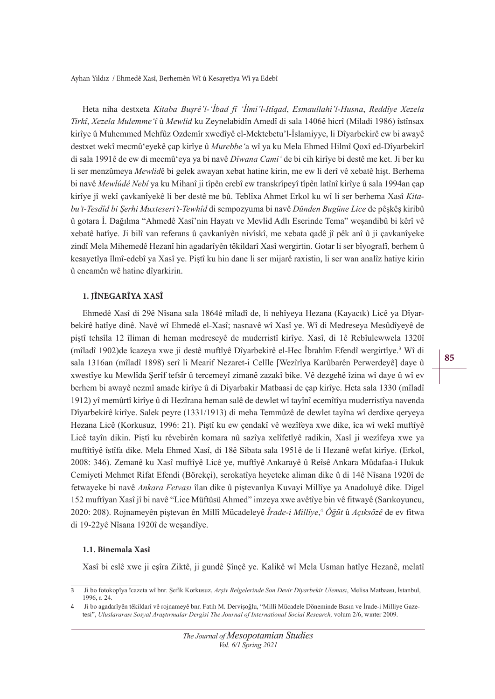Heta niha destxeta *Kitaba Busrê'l-'Îbad fî 'Îlmi'l-Itîqad, Esmaullahi'l-Husna, Reddîve Xezela Tirkî, Xezela Mulemme'î* û *Mewlid* ku Zeynelabidîn Amedî di sala 1406ê hicrî (Miladi 1986) îstînsax kirîye û Muhemmed Mehfûz Ozdemîr xwedîyê el-Mektebetu'l-İslamiyye, li Dîyarbekirê ew bi awayê destxet wekî mecmû'eyekê çap kirîye û *Murebbe'*a wî ya ku Mela Ehmed Hilmî Qoxî ed-Dîyarbekirî di sala 1991ê de ew di mecmû'eya ya bi navê *Dîwana Cami'* de bi cih kirîye bi destê me ket. Ji ber ku li ser menzûmeya *Mewlid*ê bi gelek awayan xebat hatine kirin, me ew li derî vê xebatê hişt. Berhema bi navê *Mewlûdê Nebî* ya ku Mihanî ji tîpên erebî ew transkrîpeyî tîpên latînî kirîye û sala 1994an çap kirîye jî wekî çavkanîyekê li ber destê me bû. Teblîxa Ahmet Erkol ku wî li ser berhema Xasî *.ita*bu't-Tesdîd bi Şerhi Muxteseri't-Tewhîd di sempozyuma bi navê Dünden Bugüne Lice de pêşkêş kiribû û gotara İ. Dağılma "Ahmedê Xasî'nin Hayatı ve Mevlid Adlı Eserinde Tema" weşandibû bi kêrî vê xebatê hatîye. Ji bilî van referans û çavkanîyên nivîskî, me xebata qadê jî pêk anî û ji çavkanîyeke zindî Mela Mihemedê Hezanî hin agadarîyên têkildarî Xasî wergirtin. Gotar li ser bîyografî, berhem û kesayetîya îlmî-edebî ya Xasî ye. Piştî ku hin dane li ser mijarê raxistin, li ser wan analîz hatiye kirin û encamên wê hatine dîyarkirin.

## **1. JÎNEGARÎYA XASÎ**

Ehmedê Xasî di 29ê Nîsana sala 1864ê mîladî de, li nehîyeya Hezana (Kayacık) Licê ya Dîyarbekirê hatîye dinê. Navê wî Ehmedê el-Xasî; nasnavê wî Xasî ye. Wî di Medreseya Mesûdîyeyê de piştî tehsîla 12 îliman di heman medreseyê de muderristî kirîye. Xasî, di 1ê Rebîulewwela 1320î (mîladî 1902)de îcazeya xwe ji destê muftîyê Dîyarbekirê el-Hec Îbrahîm Efendî wergirtîye.<sup>3</sup> Wî di sala 1316an (mîladî 1898) serî li Mearif Nezaret-i Celîle [Wezîrîya Karûbarên Perwerdeyê] daye û xwestîye ku Mewlîda Şerîf tefsîr û tercemeyî zimanê zazakî bike. Vê dezgehê îzina wî daye û wî ev berhem bi awayê nezmî amade kirîye û di Diyarbakir Matbaasi de çap kirîye. Heta sala 1330 (mîladî 1912) yî memûrtî kirîye û di Hezîrana heman salê de dewlet wî tayînî ecemîtîya muderristîya navenda Dîyarbekirê kirîye. Salek peyre (1331/1913) di meha Temmûzê de dewlet tayîna wî derdixe qeryeya Hezana Licê (Korkusuz, 1996: 21). Piştî ku ew çendakî vê wezîfeya xwe dike, îca wî wekî muftîyê Licê tayîn dikin. Piştî ku rêvebirên komara nû sazîya xelîfetîyê radikin, Xasî ji wezîfeya xwe ya muftîtîyê îstîfa dike. Mela Ehmed Xasî, di 18ê Sibata sala 1951ê de li Hezanê wefat kirîye. (Erkol, 2008: 346). Zemanê ku Xasî muftîyê Licê ye, muftîyê Ankarayê û Reîsê Ankara Müdafaa-i Hukuk Cemiyeti Mehmet Rifat Efendi (Börekçi), serokatîya heyeteke aliman dike û di 14ê Nîsana 1920î de fetwayeke bi navê *Ankara Fetvası* îlan dike û piştevanîya Kuvayi Millîye ya Anadoluyê dike. Digel 152 muftîyan Xasî jî bi navê "Lice Müftüsü Ahmed" imzeya xwe avêtîye bin vê fitwayê (Sarıkoyuncu, 2020: 208). Rojnameyên piştevan ên Millî Mücadeleyê *Îrade-i Millîye*,<sup>4</sup> Öğü*t* û *Açıksözê* de ev fitwa di 19-22yê Nîsana 1920î de weşandîye.

## **1.1. Binemala Xasî**

Xasî bi eslê xwe ji eşîra Ziktê, ji gundê Şînçê ye. Kalikê wî Mela Usman hatîye Hezanê, melatî

<sup>3</sup> Ji bo fotokopîya îcazeta wî bnr. Şefik Korkusuz, Arşiv Belgelerinde Son Devir Diyarbekir Uleması, Melisa Matbaası, İstanbul, 1996, r. 24.

<sup>4</sup> Ji bo agadarîyên têkildarî vê rojnameyê bnr. Fatih M. Dervişoğlu, "Millî Mücadele Döneminde Basın ve İrade-i Milliye Gazetesi", *Uluslararası Sosyal Araştırmalar Dergisi The Journal of International Social Research*, volum 2/6, wınter 2009.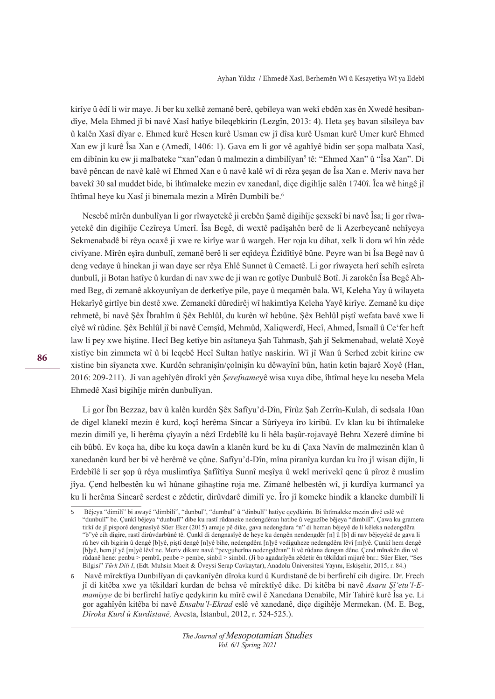kirîye û êdî li wir maye. Ji ber ku xelkê zemanê berê, qebîleya wan wekî ebdên xas ên Xwedê hesibandîye, Mela Ehmed jî bi navê Xasî hatîye bileqebkirin (Lezgîn, 2013: 4). Heta şeş bavan silsileya bav û kalên Xasî dîyar e. Ehmed kurê Hesen kurê Usman ew jî dîsa kurê Usman kurê Umer kurê Ehmed Xan ew jî kurê Îsa Xan e (Amedî, 1406: 1). Gava em li gor vê agahîyê bidin ser şopa malbata Xasî, em dibînin ku ew ji malbateke "xan"edan û malmezin a dimbilîyan<sup>5</sup> tê: "Ehmed Xan" û "Îsa Xan". Di bavê pêncan de navê kalê wî Ehmed Xan e û navê kalê wî di rêza şeşan de Îsa Xan e. Meriv nava her bavekî 30 sal muddet bide, bi îhtîmaleke mezin ev xanedanî, diçe digihîje salên 1740î. Îca wê hingê jî îhtîmal heye ku Xasî ji binemala mezin a Mîrên Dumbilî be.<sup>6</sup>

Nesebê mîrên dunbulîyan li gor rîwayetekê ji erebên Şamê digihîje şexsekî bi navê Îsa; li gor rîwayetekê din digihîje Cezîreya Umerî. Îsa Begê, di wextê padîşahên berê de li Azerbeycanê nehîyeya Sekmenabadê bi rêya ocaxê ji xwe re kirîye war û wargeh. Her roja ku dihat, xelk li dora wî hîn zêde civîyane. Mîrên eşîra dunbulî, zemanê berê li ser eqîdeya Êzîdîtîyê bûne. Peyre wan bi Îsa Begê nav û deng vedaye û hinekan ji wan daye ser rêya Ehlê Sunnet û Cemaetê. Li gor rîwayeta herî sehîh eşîreta dunbulî, ji Botan hatîye û kurdan di nav xwe de ji wan re gotîye Dunbulê Botî. Ji zarokên Îsa Begê Ahmed Beg, di zemanê akkoyunîyan de derketîye pile, paye û meqamên bala. Wî, Keleha Yay û wilayeta Hekarîyê girtîye bin destê xwe. Zemanekî dûredirêj wî hakimtîya Keleha Yayê kirîye. Zemanê ku diçe rehmetê, bi navê Şêx Îbrahîm û Şêx Behlûl, du kurên wî hebûne. Şêx Behlûl piştî wefata bavê xwe li cîyê wî rûdine. Şêx Behlûl jî bi navê Cemşîd, Mehmûd, Xaliqwerdî, Hecî, Ahmed, Îsmaîl û Ce'fer heft law li pey xwe hiştine. Hecî Beg ketîye bin asîtaneya Şah Tahmasb, Şah jî Sekmenabad, welatê Xoyê xistîye bin zimmeta wî û bi leqebê Hecî Sultan hatîye naskirin. Wî jî Wan û Serhed zebit kirine ew xistine bin sîyaneta xwe. Kurdên sehranişîn/çolnişîn ku dêwayînî bûn, hatin ketin bajarê Xoyê (Han, 2016: 209-211). Ji van agehîyên dîrokî yên *ùereIname*yê wisa xuya dibe, îhtîmal heye ku neseba Mela Ehmedê Xasî bigihîje mîrên dunbulîyan.

Li gor Îbn Bezzaz, bav û kalên kurdên Şêx Safîyu'd-Dîn, Fîrûz Şah Zerrîn-Kulah, di sedsala 10an de digel klanekî mezin ê kurd, koçî herêma Sincar a Sûrîyeya îro kiribû. Ev klan ku bi îhtîmaleke mezin dimilî ye, li herêma çîyayîn a nêzî Erdebîlê ku li hêla başûr-rojavayê Behra Xezerê dimîne bi cih bûbû. Ev koça ha, dibe ku koça dawîn a klanên kurd be ku di Çaxa Navîn de malmezinên klan û xanedanên kurd ber bi vê herêmê ve çûne. Safîyu'd-Dîn, mîna piranîya kurdan ku îro jî wisan dijîn, li Erdebîlê li ser şop û rêya muslimtîya Şafîîtîya Sunnî meşîya û wekî merivekî qenc û pîroz ê muslim jîya. Çend helbestên ku wî hûnane gihaştine roja me. Zimanê helbestên wî, ji kurdîya kurmancî ya ku li herêma Sincarê serdest e zêdetir, dirûvdarê dimilî ye. Îro jî komeke hindik a klaneke dumbilî li

<sup>5</sup> Bêjeya "dimilî" bi awayê "dimbilî", "dunbul", "dumbul" û "dinbulî" hatîye qeydkirin. Bi îhtîmaleke mezin divê eslê wê "dunbulî" be. Çunkî bêjeya "dunbulî" dibe ku rastî rûdaneke nedengdêran hatibe û veguzîbe bêjeya "dimbilî". Çawa ku gramera tirkî de jî pisporê dengnasîyê Süer Eker (2015) amaje pê dike, gava nedengdara "n" di heman bêjeyê de li kêleka nedengdêra "b"yê cih digire, rastî dirûvdarbûnê tê. Çunkî di dengnasîyê de heye ku dengên nendengdêr [n] û [b] di nav bêjeyekê de gava li rû hev cih bigirin û dengê [b]yê, piştî dengê [n]yê bihe, nedengdêra [n]yê vediguheze nedengdêra lêvî [m]yê. Çunkî hem dengê [b]yê, hem jî yê [m]yê lêvî ne. Meriv dikare navê "pevguherîna nedengdêran" li vê rûdana dengan dêne. Çend mînakên din vê rûdanê hene: penbu > pembû, penbe > pembe, sinbil > simbil. (Ji bo agadarîyên zêdetir ên têkildarî mijarê bnr.: Süer Eker, "Ses Bilgisi" Türk Dili I, (Edt. Muhsin Macit & Üveysi Serap Cavkaytar), Anadolu Üniversitesi Yayını, Eskişehir, 2015, r. 84.)

<sup>6</sup> Navê mîrektîya Dunbilîyan di çavkanîyên dîroka kurd û Kurdistanê de bi berfirehî cih digire. Dr. Frech jî di kitêba xwe ya têkildarî kurdan de behsa vê mîrektîyê dike. Di kitêba bi navê Asaru Şî'etu'l-E*mamîyye* de bi berfirehî hatîye qedykirin ku mîrê ewil ê Xanedana Denabîle, Mîr Tahirê kurê Îsa ye. Li gor agahîyên kitêba bi navê *Ensabu'l-Ekrad* eslê vê xanedanê, diçe digihêje Mermekan. (M. E. Beg, *Dîroka Kurd û Kurdistanê, Avesta, İstanbul, 2012, r. 524-525.).*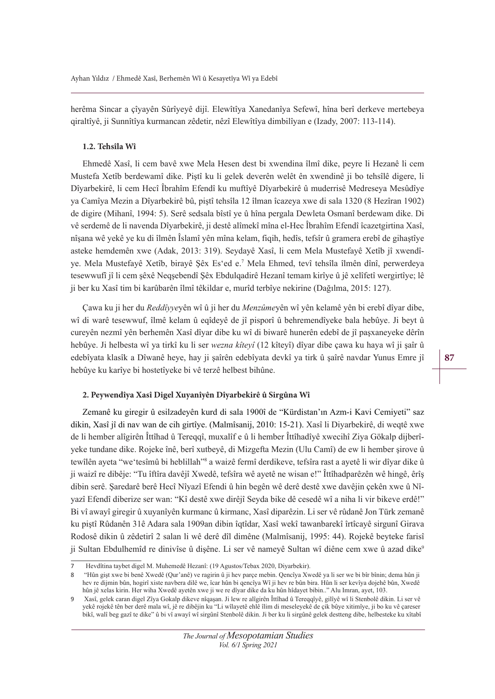herêma Sincar a çîyayên Sûrîyeyê dijî. Elewîtîya Xanedanîya Sefewî, hîna berî derkeve mertebeya qiraltîyê, ji Sunnîtîya kurmancan zêdetir, nêzî Elewîtîya dimbilîyan e (Izady, 2007: 113-114).

#### **1.2. Tehsîla Wî**

Ehmedê Xasî, li cem bavê xwe Mela Hesen dest bi xwendina îlmî dike, peyre li Hezanê li cem Mustefa Xetîb berdewamî dike. Piştî ku li gelek deverên welêt ên xwendinê ji bo tehsîlê digere, li Dîyarbekirê, li cem Hecî Îbrahîm Efendî ku muftîyê Dîyarbekirê û muderrisê Medreseya Mesûdîye ya Camîya Mezin a Dîyarbekirê bû, piştî tehsîla 12 îlman îcazeya xwe di sala 1320 (8 Hezîran 1902) de digire (Mihanî, 1994: 5). Serê sedsala bîstî ye û hîna pergala Dewleta Osmanî berdewam dike. Di vê serdemê de li navenda Dîyarbekirê, ji destê alîmekî mîna el-Hec Îbrahîm Efendî îcazetgirtina Xasî, nîşana wê yekê ye ku di îlmên Îslamî yên mîna kelam, fiqih, hedîs, tefsîr û gramera erebî de gihaştîye asteke hemdemên xwe (Adak, 2013: 319). Seydayê Xasî, li cem Mela Mustefayê Xetîb jî xwendîye. Mela Mustefayê Xetîb, birayê Şêx Es'ed e.<sup>7</sup> Mela Ehmed, tevî tehsîla îlmên dînî, perwerdeya tesewwufî jî li cem şêxê Neqşebendî Şêx Ebdulqadirê Hezanî temam kirîye û jê xelîfetî wergirtîye; lê ji ber ku Xasî tim bi karûbarên îlmî têkildar e, murîd terbîye nekirine (Dağılma, 2015: 127).

Çawa ku ji her du *Reddîyye*yên wî û ji her du *Menzûmey*ên wî yên kelamê yên bi erebî dîyar dibe, wî di warê tesewwuf, îlmê kelam û eqîdeyê de jî pisporî û behremendîyeke bala hebûye. Ji beyt û cureyên nezmî yên berhemên Xasî dîyar dibe ku wî di biwarê hunerên edebî de jî paşxaneyeke dêrîn hebûye. Ji helbesta wî ya tirkî ku li ser *wezna kîteyî* (12 kîteyî) dîyar dibe çawa ku haya wî ji şaîr û edebîyata klasîk a Dîwanê heye, hay ji şaîrên edebîyata devkî ya tirk û şaîrê navdar Yunus Emre jî hebûye ku karîye bi hostetîyeke bi vê terzê helbest bihûne.

## **2. Peywendîya Xasî Digel Xuyanîyên Dîyarbekirê û Sirgûna Wî**

Zemanê ku giregir û esilzadeyên kurd di sala 1900î de "Kürdistan'ın Azm-i Kavi Cemiyeti" saz dikin, Xasî jî di nav wan de cih girtîye. (Malmîsanij, 2010: 15-21). Xasî li Diyarbekirê, di weqtê xwe de li hember alîgirên Îttîhad û Tereqqî, muxalîf e û li hember Îttîhadîyê xwecihî Ziya Gökalp dijberîyeke tundane dike. Rojeke înê, berî xutbeyê, di Mizgefta Mezin (Ulu Camî) de ew li hember şirove û tewîlên ayeta "we'tesîmû bi heblillah"<sup>8</sup> a waizê fermî derdikeve, tefsîra rast a ayetê li wir dîyar dike û ji waizî re dibêje: "Tu îftîra davêjî Xwedê, tefsîra wê ayetê ne wisan e!" Îttîhadparêzên wê hingê, êrîş dibin serê. Şaredarê berê Hecî Nîyazî Efendi û hin begên wê derê destê xwe davêjin çekên xwe û Nîyazî Efendî diberize ser wan: "Kî destê xwe dirêjî Seyda bike dê cesedê wî a niha li vir bikeve erdê!" Bi vî awayî giregir û xuyanîyên kurmanc û kirmanc, Xasî diparêzin. Li ser vê rûdanê Jon Türk zemanê ku piştî Rûdanên 31ê Adara sala 1909an dibin îqtîdar, Xasî wekî tawanbarekî îrtîcayê sirgunî Girava Rodosê dikin û zêdetirî 2 salan li wê derê dîl dimêne (Malmîsanij, 1995: 44). Rojekê beyteke farisî ji Sultan Ebdulhemîd re dinivîse û dişêne. Li ser vê nameyê Sultan wî diêne cem xwe û azad dike9

<sup>7</sup> Hevdîtina taybet digel M. Muhemedê Hezanî: (19 Agustos/Tebax 2020, Diyarbekir).

<sup>8</sup> "Hûn gişt xwe bi benê Xwedê (Qur'anê) ve ragirin û ji hev parçe mebin. Qencîya Xwedê ya li ser we bi bîr bînin; dema hûn ji hev re dijmin bûn, hogirî xiste navbera dilê we, îcar hûn bi qencîya Wî ji hev re bûn bira. Hûn li ser kevîya dojehê bûn, Xwedê hûn jê xelas kirin. Her wiha Xwedê ayetên xwe ji we re dîyar dike da ku hûn hîdayet bibin.." Alu Imran, ayet, 103.

<sup>9</sup> Xasî, gelek caran digel Zîya Gokalp dikeve nîqaşan. Ji lew re alîgirên Îttîhad û Tereqqîyê, gilîyê wî li Stenbolê dikin. Li ser vê yekê rojekê tên ber derê mala wî, jê re dibêjin ku "Li wîlayetê ehlê îlim di meseleyekê de çik bûye xitimîye, ji bo ku vê çareser bikî, walî beg gazî te dike" û bi vî awayî wî sirgûnî Stenbolê dikin. Ji ber ku li sirgûnê gelek destteng dibe, helbesteke ku xîtabî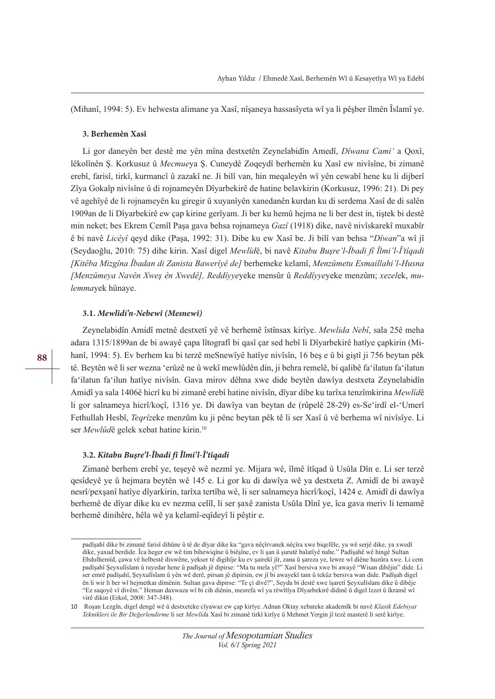(Mihanî, 1994: 5). Ev helwesta alimane ya Xasî, nîşaneya hassasîyeta wî ya li pêşber îlmên Îslamî ye.

#### **3. Berhemên Xasî**

Li gor daneyên ber destê me yên mîna destxetên Zeynelabidîn Amedî, *Dîwana Cami'* a Ooxî, lêkolînên Ş. Korkusuz û *Mecmue*ya Ş. Cuneydê Zoqeydî berhemên ku Xasî ew nivîsîne, bi zimanê erebî, farisî, tirkî, kurmancî û zazakî ne. Ji bilî van, hin meqaleyên wî yên cewabî hene ku li dijberî Zîya Gokalp nivîsîne û di rojnameyên Dîyarbekirê de hatine belavkirin (Korkusuz, 1996: 21). Di pey vê agehîyê de li rojnameyên ku giregir û xuyanîyên xanedanên kurdan ku di serdema Xasî de di salên 1909an de li Dîyarbekirê ew çap kirine gerîyam. Ji ber ku hemû hejma ne li ber dest in, tiştek bi destê min neket; bes Ekrem Cemîl Paşa gava behsa rojnameya *Gazî* (1918) dike, navê nivîskarekî muxabîr ê bi navê *Licêyî* qeyd dike (Paşa, 1992: 31). Dibe ku ew Xasî be. Ji bilî van behsa "Dîwan"a wî jî (Seydaoğlu, 2010: 75) dihe kirin. Xasî digel *Mewlîd*ê, bi navê *Kitabu Busre'l-Îbadi fî Îlmi'l-Î'tîqadi >.itrEa Mi]gvna ÌEadan di =anista %aZerv\r de@* berhemeke kelamî, *Men]metu (smaillaKi¶l+usna >Men]me\a 1aYrn ;Zeú rn ;Zedr@ Reddîyye*yeke mensûr û *Reddîyye*yeke menzûm; *[e]el*ek, *mulemma*yek hûnaye.

## **3.1.** *Mewlîd***i***'n-Nebewî (Mesnewî)*

Zeynelabidîn Amidî metnê destxetî yê vê berhemê îstînsax kirîye. *Mewlida Nebî*, sala 25ê meha adara 1315/1899an de bi awayê çapa lîtografî bi qasî çar sed hebî li Dîyarbekirê hatîye çapkirin (Mihanî, 1994: 5). Ev berhem ku bi terzê meSnewîyê hatîye nivîsîn, 16 beş e û bi giştî ji 756 beytan pêk tê. Beytên wê li ser wezna 'erûzê ne û wekî mewlûdên din, ji behra remelê, bi qalibê fa'ilatun fa'ilatun fa'ilatun fa'ilun hatîye nivîsîn. Gava mirov dêhna xwe dide beytên dawîya destxeta Zeynelabidîn Amidî ya sala 1406ê hicrî ku bi zimanê erebî hatine nivîsîn, dîyar dibe ku tarîxa tenzîmkirina *Mewlîd*ê li gor salnameya hicrî/koçî, 1316 ye. Di dawîya van beytan de (rûpelê 28-29) es-Se'irdî el-'Umerî Fethullah Hesbî, *Tegrîzeke menzûm ku ji pênc beytan pêk tê li ser Xasî û vê berhema wî nivîsîye. Li* ser *Mewlûd*ê gelek xebat hatine kirin.<sup>10</sup>

## **3.2.** *K***i***tabu Bu***ş***re'l-Îbad***i** *fî Îlm***i***'l-Î'tîqad***i**

Zimanê berhem erebî ye, teşeyê wê nezmî ye. Mijara wê, îlmê îtîqad û Usûla Dîn e. Li ser terzê qesîdeyê ye û hejmara beytên wê 145 e. Li gor ku di dawîya wê ya destxeta Z. Amidî de bi awayê nesrî/pexşanî hatîye dîyarkirin, tarîxa tertîba wê, li ser salnameya hicrî/koçî, 1424 e. Amidî di dawîya berhemê de dîyar dike ku ev nezma celîl, li ser şaxê zanista Usûla Dînî ye, îca gava meriv li temamê berhemê dinihêre, hêla wê ya kelamî-eqîdeyî li pêştir e.

padîşahî dike bi zimanê farisî dihûne û tê de dîyar dike ku "gava nêçîrvanek nêçîra xwe biqefêle, ya wê serjê dike, ya xwedî dike, yaxud berdide. Îca heger ew wê tim bihewiqîne û biêşîne, ev li şan û şurutê balatîyê nahe." Padîşahê wê hingê Sultan Ebdulhemîd, çawa vê helbestê dixwêne, yekser tê digihîje ku ev şairekî jîr, zana û şareza ye, lewre wî diêne huzûra xwe. Li cem padîşahî Şeyxulîslam û rayedar hene û padîşah jê dipirse: "Ma tu mela yî?" Xasî bersiva xwe bi awayê "Wisan dibêjin" dide. Li ser emrê padîşahî, Şeyxulîslam û yên wê derê, pirsan jê dipirsin, ew jî bi awayekî tam û tekûz bersiva wan dide. Padîşah digel ên li wir li ber wî hejmetkar dimênin. Sultan gava dipirse: "Te çi divê?", Seyda bi destê xwe îşaretî Şeyxulîslam dike û dibêje "Ez saqoyê vî divêm." Heman daxwaza wî bi cih diênin, mesrefa wî ya rêwîtîya Dîyarbekirê didinê û digel îzzet û îkramê wî virê dikin (Erkol, 2008: 347-348).

<sup>10</sup> Roşan Lezgîn, digel dengê wê û destxeteke cîyawaz ew çap kirîye. Adnan Oktay xebateke akademîk bi navê Klasik Edebiyat *7eNniNleri ile %ir 'e÷erlendirme* li ser *Mewlîd*a Xasî bi zimanê tirkî kirîye û Mehmet Yergin jî tezê masterê li serê kirîye.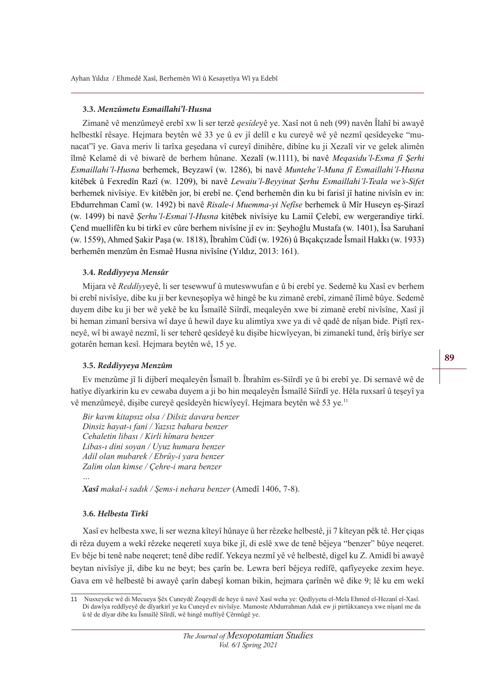#### **3.3.** *Menzûmetu Esma***i***llah***i***'l-Husna*

Zimanê vê menzûmeyê erebî xw li ser terzê *qesîde*yê ye. Xasî not û neh (99) navên Îlahî bi awayê helbestkî rêsaye. Hejmara beytên wê 33 ye û ev jî delîl e ku cureyê wê yê nezmî qesîdeyeke "munacat"î ye. Gava meriv li tarîxa geşedana vî cureyî dinihêre, dibîne ku ji Xezalî vir ve gelek alimên îlmê Kelamê di vê biwarê de berhem hûnane. Xezalî (w.1111), bi navê Megasidu'l-Esma fî Şerhi *(smaillaKi¶l+usna* berhemek, Beyzawî (w. 1286), bi navê *MunteKe¶lMuna Iv (smaillaKi¶l+usna* kitêbek û Fexredîn Razî (w. 1209), bi navê *Lewaiu'l-Bevyinat Serhu Esmaillahi'l-Teala we's-Sifet* berhemek nivîsiye. Ev kitêbên jor, bi erebî ne. Çend berhemên din ku bi farisî jî hatine nivîsîn ev in: Ebdurrehman Camî (w. 1492) bi navê *Risale-i Muemma-yi Nefîse* berhemek û Mîr Huseyn eş-Şirazî (w. 1499) bi navê *Serhu'l-Esmai'l-Husna* kitêbek nivîsiye ku Lamiî Çelebî, ew wergerandiye tirkî. Çend muellifên ku bi tirkî ev cûre berhem nivîsîne jî ev in: Şeyhoğlu Mustafa (w. 1401), Îsa Saruhanî (w. 1559), Ahmed Şakir Paşa (w. 1818), Îbrahîm Cûdî (w. 1926) û Bıçakçızade Îsmail Hakkı (w. 1933) berhemên menzûm ên Esmaê Husna nivîsîne (Yıldız, 2013: 161).

# **3.4.** *Reddîyyeya Mensûr*

Mijara vê *Reddîyy*eyê, li ser tesewwuf û muteswwufan e û bi erebî ye. Sedemê ku Xasî ev berhem bi erebî nivîsîye, dibe ku ji ber kevneşopîya wê hingê be ku zimanê erebî, zimanê îlimê bûye. Sedemê duyem dibe ku ji ber wê yekê be ku Îsmaîlê Siîrdî, meqaleyên xwe bi zimanê erebî nivîsîne, Xasî jî bi heman zimanî bersiva wî daye û hewil daye ku alimtîya xwe ya di vê qadê de nîşan bide. Piştî rexneyê, wî bi awayê nezmî, li ser teherê qesîdeyê ku dişibe hicwîyeyan, bi zimanekî tund, êrîş birîye ser gotarên heman kesî. Hejmara beytên wê, 15 ye.

#### **3.5.** *Reddîyyeya Menzûm*

Ev menzûme jî li dijberî meqaleyên Îsmaîl b. Îbrahîm es-Siîrdî ye û bi erebî ye. Di sernavê wê de hatîye dîyarkirin ku ev cewaba duyem a ji bo hin meqaleyên Îsmaîlê Siîrdî ye. Hêla ruxsarî û teşeyî ya vê menzûmeyê, dişibe cureyê qesîdeyên hicwîyeyî. Hejmara beytên wê 53 ye.<sup>11</sup>

Bir kaym kitapsız olsa / Dilsiz dayara benzer *Dinsiz hayat-ı fani / Yazsız bahara benzer*  $Cehaletin libas<sub>I</sub> / Kirli hîmara benzer$ *Libas-i dini soyan / Uyuz humara benzer Adil olan mubarek / Ebrûv-i vara benzer* Zalim olan kimse / Çehre-i mara benzer *…* 

*Xasî makal-i sadık / Sems-i nehara benzer* (Amedî 1406, 7-8).

## **3.6.** *Helbesta T***i***rkî*

Xasî ev helbesta xwe, li ser wezna kîteyî hûnaye û her rêzeke helbestê, ji 7 kîteyan pêk tê. Her çiqas di rêza duyem a wekî rêzeke neqeretî xuya bike jî, di eslê xwe de tenê bêjeya "benzer" bûye neqeret. Ev bêje bi tenê nabe neqeret; tenê dibe redîf. Yekeya nezmî yê vê helbestê, digel ku Z. Amidî bi awayê beytan nivîsîye jî, dibe ku ne beyt; bes çarîn be. Lewra berî bêjeya redîfê, qafîyeyeke zexim heye. Gava em vê helbestê bi awayê çarîn dabeşî koman bikin, hejmara çarînên wê dike 9; lê ku em wekî

<sup>11</sup> Nusxeyeke wê di Mecueya Şêx Cuneydê Zoqeydî de heye û navê Xasî weha ye: Qedîyyetu el-Mela Ehmed el-Hezanî el-Xasî. Di dawîya reddîyeyê de dîyarkirî ye ku Cuneyd ev nivîsîye. Mamoste Abdurrahman Adak ew ji pirtûkxaneya xwe nîşanî me da û tê de dîyar dibe ku Îsmaîlê Sîîrdî, wê hingê muftîyê Çêrmûgê ye.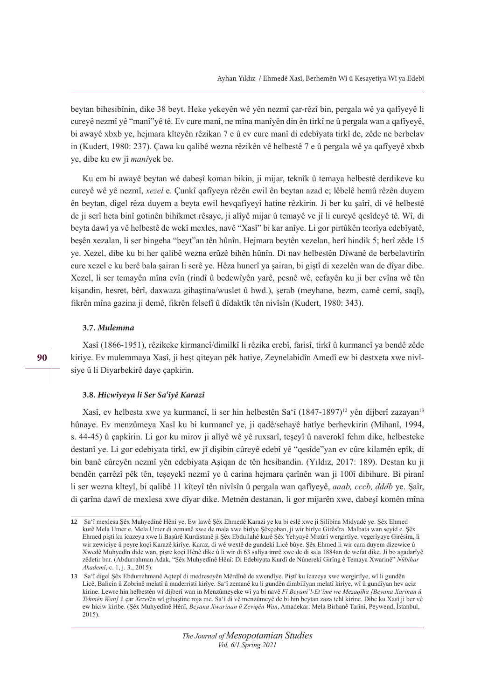beytan bihesibînin, dike 38 beyt. Heke yekeyên wê yên nezmî çar-rêzî bin, pergala wê ya qafîyeyê li cureyê nezmî yê "manî"yê tê. Ev cure manî, ne mîna manîyên din ên tirkî ne û pergala wan a qafîyeyê, bi awayê xbxb ye, hejmara kîteyên rêzikan 7 e û ev cure manî di edebîyata tirkî de, zêde ne berbelav in (Kudert, 1980: 237). Çawa ku qalibê wezna rêzikên vê helbestê 7 e û pergala wê ya qafîyeyê xbxb ye, dibe ku ew jî *manîyek* be.

Ku em bi awayê beytan wê dabeşî koman bikin, ji mijar, teknîk û temaya helbestê derdikeve ku cureyê wê yê nezmî, *[e]el* e. Çunkî qafîyeya rêzên ewil ên beytan azad e; lêbelê hemû rêzên duyem ên beytan, digel rêza duyem a beyta ewil hevqafîyeyî hatine rêzkirin. Ji ber ku şaîrî, di vê helbestê de ji serî heta binî gotinên bihîkmet rêsaye, ji alîyê mijar û temayê ve jî li cureyê qesîdeyê tê. Wî, di beyta dawî ya vê helbestê de wekî mexles, navê "Xasî" bi kar anîye. Li gor pirtûkên teorîya edebîyatê, beşên xezalan, li ser bingeha "beyt"an tên hûnîn. Hejmara beytên xezelan, herî hindik 5; herî zêde 15 ye. Xezel, dibe ku bi her qalibê wezna erûzê bihên hûnîn. Di nav helbestên Dîwanê de berbelavtirîn cure xezel e ku berê bala şairan li serê ye. Hêza hunerî ya şairan, bi giştî di xezelên wan de dîyar dibe. Xezel, li ser temayên mîna evîn (rindî û bedewîyên yarê, pesnê wê, cefayên ku ji ber evîna wê tên kişandin, hesret, bêrî, daxwaza gihaştina/wuslet û hwd.), şerab (meyhane, bezm, camê cemî, saqî), fikrên mîna gazina ji demê, fikrên felsefî û dîdaktîk tên nivîsîn (Kudert, 1980: 343).

#### **3.7.** *Mulemma*

Xasî (1866-1951), rêzikeke kirmancî/dimilkî li rêzika erebî, farisî, tirkî û kurmancî ya bendê zêde kiriye. Ev mulemmaya Xasî, ji heşt qiteyan pêk hatiye, Zeynelabidîn Amedî ew bi destxeta xwe nivîsiye û li Diyarbekirê daye çapkirin.

#### **3.8.** *H***i***cwîyeya l***i** *Ser Sa'îyê Karazî*

Xasî, ev helbesta xwe ya kurmancî, li ser hin helbestên Sa'î (1847-1897)<sup>12</sup> yên dijberî zazayan<sup>13</sup> hûnaye. Ev menzûmeya Xasî ku bi kurmancî ye, ji qadê/sehayê hatîye berhevkirin (Mihanî, 1994, s. 44-45) û çapkirin. Li gor ku mirov ji alîyê wê yê ruxsarî, teşeyî û naverokî fehm dike, helbesteke destanî ye. Li gor edebiyata tirkî, ew jî dişibin cûreyê edebî yê "qesîde"yan ev cûre kilamên epîk, di bin banê cûreyên nezmî yên edebiyata Aşiqan de tên hesibandin. (Yıldız, 2017: 189). Destan ku ji bendên çarrêzî pêk tên, teşeyekî nezmî ye û carina hejmara çarînên wan ji 100î dibihure. Bi piranî li ser wezna kîteyî, bi qalibê 11 kîteyî tên nivîsîn û pergala wan qafîyeyê, *aaab, cccb, dddb* ye. Şaîr, di çarîna dawî de mexlesa xwe dîyar dike. Metnên destanan, li gor mijarên xwe, dabeşî komên mîna

<sup>12</sup> Sa'î mexlesa Şêx Muhyedînê Hênî ye. Ew lawê Şêx Ehmedê Karazî ye ku bi eslê xwe ji Silîbîna Midyadê ye. Şêx Ehmed kurê Mela Umer e. Mela Umer di zemanê xwe de mala xwe birîye Şêxçoban, ji wir birîye Girêsîra. Malbata wan seyîd e. Şêx Ehmed piştî ku îcazeya xwe li Başûrê Kurdistanê ji Şêx Ebdullahê kurê Şêx Yehyayê Mizûrî wergirtîye, vegerîyaye Girêsîra, li wir zewicîye û peyre koçî Karazê kirîye. Karaz, di wê wextê de gundekî Licê bûye. Şêx Ehmed li wir cara duyem dizewice û Xwedê Muhyedîn dide wan, pişre koçî Hênê dike û li wir di 63 salîya imrê xwe de di sala 1884an de wefat dike. Ji bo agadarîyê zêdetir bnr. (Abdurrahman Adak, "Şêx Muhyedînê Hênî: Di Edebiyata Kurdî de Nûnerekî Girîng ê Temaya Xwarinê" Nûbihar *Akademî*, c. 1, j. 3., 2015).

<sup>13</sup> Sa'î digel Şêx Ebdurrehmanê Aqtepî di medreseyên Mêrdînê de xwendîye. Piştî ku îcazeya xwe wergirtîye, wî li gundên Licê, Balicin û Zobrînê melatî û muderristî kirîye. Sa'î zemanê ku li gundên dimbilîyan melatî kirîye, wî û gundîyan hev aciz kirine. Lewre hin helbestên wî dijberî wan in Menzûmeyeke wî ya bi navê Fî Beyani'l-Et 'îme we Mezaqîha [Beyana Xarinan û *Tehmên Wan]* û çar *Xezel*ên wî gihaştine roja me. Sa'î di vê menzûmeyê de bi hin beytan zaza tehl kirine. Dibe ku Xasî ji ber vê ew hiciw kiribe. (Şêx Muhyedînê Hênî, *Beyana Xwarinan û Zewqên Wan*, Amadekar: Mela Birhanê Tarînî, Peywend, Îstanbul, 2015).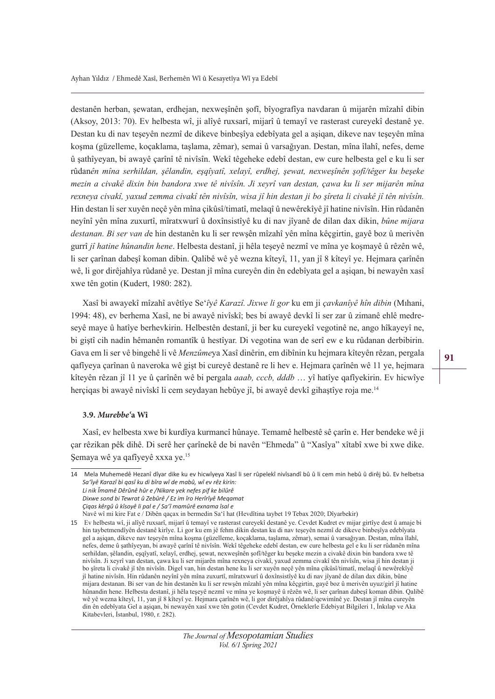destanên herban, şewatan, erdhejan, nexweşînên şofî, bîyografîya navdaran û mijarên mîzahî dibin (Aksoy, 2013: 70). Ev helbesta wî, ji alîyê ruxsarî, mijarî û temayî ve rasterast cureyekî destanê ye. Destan ku di nav teşeyên nezmî de dikeve binbeşîya edebîyata gel a aşiqan, dikeve nav teşeyên mîna koşma (güzelleme, koçaklama, taşlama, zêmar), semai û varsağıyan. Destan, mîna îlahî, nefes, deme û şathîyeyan, bi awayê çarînî tê nivîsîn. Wekî têgeheke edebî destan, ew cure helbesta gel e ku li ser rûdanên mîna serhildan, şêlandin, eşqîyatî, xelayî, erdhej, şewat, nexweşînên şofî/têger ku beşeke *mezin a civakê dixin bin bandora xwe tê nivîsîn. Ji xeyrî van destan, çawa ku li ser mijarên mîna* rexneya civakî, yaxud zemma civakî tên nivîsîn, wisa jî hin destan ji bo şîreta li civakê jî tên nivîsîn. Hin destan li ser xuyên neçê yên mîna çikûsî/timatî, melaqî û newêrekîyê jî hatine nivîsîn. Hin rûdanên neyînî yên mîna zuxurtî, mîratxwurî û doxînsistîyê ku di nav jîyanê de dilan dax dikin, *bûne mijara destanan. %L ser Yan d*e hin destanên ku li ser rewşên mîzahî yên mîna kêçgirtin, gayê boz û merivên gurrî *jî hatine hûnandin hene*. Helbesta destanî, ji hêla teşeyê nezmî ve mîna ye koşmayê û rêzên wê, li ser çarînan dabeşî koman dibin. Qalibê wê yê wezna kîteyî, 11, yan jî 8 kîteyî ye. Hejmara çarînên wê, li gor dirêjahîya rûdanê ye. Destan jî mîna cureyên din ên edebîyata gel a aşiqan, bi newayên xasî xwe tên gotin (Kudert, 1980: 282).

Xasî bi awayekî mîzahî avêtîye Se'*îyê Karazî. Jixwe li gor* ku em ji *çavkanîyê hîn dibin* (Mıhani, 1994: 48), ev berhema Xasî, ne bi awayê nivîskî; bes bi awayê devkî li ser zar û zimanê ehlê medreseyê maye û hatîye berhevkirin. Helbestên destanî, ji ber ku cureyekî vegotinê ne, ango hîkayeyî ne, bi giştî cih nadin hêmanên romantîk û hestîyar. Di vegotina wan de serî ew e ku rûdanan derbibirin. Gava em li ser vê bingehê li vê *Menzûme*ya Xasî dinêrin, em dibînin ku hejmara kîteyên rêzan, pergala qafîyeya çarînan û naveroka wê gişt bi cureyê destanê re li hev e. Hejmara çarînên wê 11 ye, hejmara kîteyên rêzan jî 11 ye û çarînên wê bi pergala *qaab, cccb, dddb...* yî hatîye qafîyekirin. Ev hicwîye herçiqas bi awayê nivîskî li cem seydayan hebûye jî, bi awayê devkî gihaştîye roja me.<sup>14</sup>

#### **3.9.** *Murebbe'***a Wî**

Xasî, ev helbesta xwe bi kurdîya kurmancî hûnaye. Temamê helbestê sê çarîn e. Her bendeke wê ji çar rêzikan pêk dihê. Di serê her çarînekê de bi navên "Ehmeda" û "Xasîya" xîtabî xwe bi xwe dike. Şemaya wê ya qafîyeyê xxxa ye.<sup>15</sup>

<sup>14</sup> Mela Muhemedê Hezanî dîyar dike ku ev hicwîyeya Xasî li ser rûpelekî nivîsandî bû û li cem min hebû û dirêj bû. Ev helbetsa *Sa'îyê Karazî bi qasî ku di bîra wî de mabû, wî ev rêz kirin: Li nik Îmamê Dêrûnê hûr e /Nikare yek nefes pif ke bilûrê Dixwe sond bi Tewrat û Zebûrê / Ez im îro Herîrîyê Meqamat Çiqas kêrgû û kîsoyê li pal e / Sa'î mamûrê exnama îsal e* Navê wî mi kire Fat e / Dibên qaçax in bermedin Sa'î hat (Hevdîtina taybet 19 Tebax 2020; Dîyarbekir)

<sup>15</sup> Ev helbesta wî, ji alîyê ruxsarî, mijarî û temayî ve rasterast cureyekî destanê ye. Cevdet Kudret ev mijar girtîye dest û amaje bi hin taybetmendîyên destanê kirîye. Li gor ku em jê fehm dikin destan ku di nav teşeyên nezmî de dikeve binbeşîya edebîyata gel a aşiqan, dikeve nav teşeyên mîna koşma (güzelleme, koçaklama, taşlama, zêmar), semai û varsağıyan. Destan, mîna îlahî, nefes, deme û şathîyeyan, bi awayê çarînî tê nivîsîn. Wekî têgeheke edebî destan, ew cure helbesta gel e ku li ser rûdanên mîna serhildan, şêlandin, eşqîyatî, xelayî, erdhej, şewat, nexweşînên şofî/têger ku beşeke mezin a civakê dixin bin bandora xwe tê nivîsîn. Ji xeyrî van destan, çawa ku li ser mijarên mîna rexneya civakî, yaxud zemma civakî tên nivîsîn, wisa jî hin destan ji bo şîreta li civakê jî tên nivîsîn. Digel van, hin destan hene ku li ser xuyên neçê yên mîna çikûsî/timatî, melaqî û newêrekîyê jî hatine nivîsîn. Hin rûdanên neyînî yên mîna zuxurtî, mîratxwurî û doxînsistîyê ku di nav jîyanê de dilan dax dikin, bûne mijara destanan. Bi ser van de hin destanên ku li ser rewşên mîzahî yên mîna kêçgirtin, gayê boz û merivên uyuz/girî jî hatine hûnandin hene. Helbesta destanî, ji hêla teşeyê nezmî ve mîna ye koşmayê û rêzên wê, li ser çarînan dabeşî koman dibin. Qalibê wê yê wezna kîteyî, 11, yan jî 8 kîteyî ye. Hejmara çarînên wê, li gor dirêjahîya rûdanê/qewimînê ye. Destan jî mîna cureyên din ên edebîyata Gel a aşiqan, bi newayên xasî xwe tên gotin (Cevdet Kudret, Örneklerle Edebiyat Bilgileri 1, İnkılap ve Aka Kitabevleri, İstanbul, 1980, r. 282).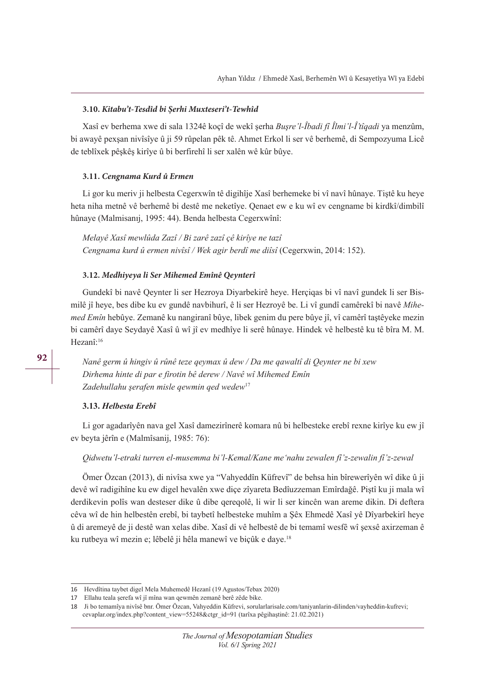#### **3.10.** *K***i***tabu't-Tesdîd b***i Ş***erh***i** *Muxteser***i***'t-Tewhîd*

Xasî ev berhema xwe di sala 1324ê koçî de wekî şerha *Buşre'l-Îbadi fî Îlmi'l-Î tîqadi* ya menzûm, bi awayê pexşan nivîsîye û ji 59 rûpelan pêk tê. Ahmet Erkol li ser vê berhemê, di Sempozyuma Licê de teblîxek pêşkêş kirîye û bi berfirehî li ser xalên wê kûr bûye.

#### **3.11.** *Cengnama Kurd û Ermen*

Li gor ku meriv ji helbesta Cegerxwîn tê digihîje Xasî berhemeke bi vî navî hûnaye. Tiştê ku heye heta niha metnê vê berhemê bi destê me neketîye. Qenaet ew e ku wî ev cengname bi kirdkî/dimbilî hûnaye (Malmisanıj, 1995: 44). Benda helbesta Cegerxwînî:

*Melayê Xasî mewlûda Zazî / Bi zarê zazî çê kirîye ne tazî Cengnama kurd û ermen nivîsî / Wek agir berdî me diîsî* (Cegerxwin, 2014: 152).

#### **3.12.** *Medh***i***yeya l***i** *Ser M***i***hemed Emînê Qeynterî*

Gundekî bi navê Qeynter li ser Hezroya Diyarbekirê heye. Herçiqas bi vî navî gundek li ser Bismilê jî heye, bes dibe ku ev gundê navbihurî, ê li ser Hezroyê be. Li vî gundî camêrekî bi navê *Mihemed (mvn* hebûye. Zemanê ku nangiranî bûye, libek genim du pere bûye jî, vî camêrî taştêyeke mezin bi camêrî daye Seydayê Xasî û wî jî ev medhîye li serê hûnaye. Hindek vê helbestê ku tê bîra M. M. Hezanî:16

*Nanê germ û hingiv û rûnê teze qeymax û dew / Da me qawaltî di Qeynter ne bi xew* Dirhema hinte di par e firotin bê derew / Navê wî Mihemed Emîn Zadehullahu serafen misle gewmin ged wedew<sup>17</sup>

## **1***Helbesta Erebî*

Li gor agadarîyên nava gel Xasî damezirînerê komara nû bi helbesteke erebî rexne kirîye ku ew jî ev beyta jêrîn e (Malmîsanij, 1985: 76):

## Qidwetu'l-etraki turren el-musemma bi'l-Kemal/Kane me'nahu zewalen fî'z-zewalin fî'z-zewal

Ömer Özcan (2013), di nivîsa xwe ya "Vahyeddîn Küfrevî" de behsa hin bîrewerîyên wî dike û ji devê wî radigihîne ku ew digel hevalên xwe diçe zîyareta Bedîuzzeman Emîrdağê. Piştî ku ji mala wî derdikevin polîs wan desteser dike û dibe qereqolê, li wir li ser kincên wan areme dikin. Di deftera cêva wî de hin helbestên erebî, bi taybetî helbesteke muhîm a Şêx Ehmedê Xasî yê Dîyarbekirî heye û di aremeyê de ji destê wan xelas dibe. Xasî di vê helbestê de bi temamî wesfê wî şexsê axirzeman ê ku rutbeya wî mezin e; lêbelê ji hêla manewî ve biçûk e daye.<sup>18</sup>

<sup>16</sup> Hevdîtina taybet digel Mela Muhemedê Hezanî (19 Agustos/Tebax 2020)

<sup>17</sup> Ellahu teala şerefa wî jî mîna wan qewmên zemanê berê zêde bike.

<sup>18</sup> Ji bo temamîya nivîsê bnr. Ömer Özcan, Vahyeddin Küfrevi, sorularlarisale.com/taniyanlarin-dilinden/vayheddin-kufrevi; cevaplar.org/index.php?content\_view=55248&ctgr\_id=91 (tarîxa pêgihaştinê: 21.02.2021)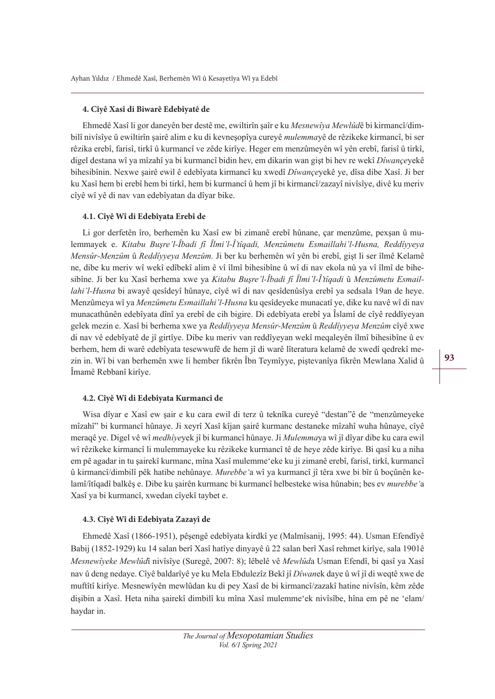# **4. Cîyê Xasî di Biwarê Edebîyatê de**

Ehmedê Xasî li gor daneyên ber destê me, ewiltirîn şaîr e ku *Mesnewîya Mewlûd*ê bi kirmancî/dimbilî nivîsîye û ewiltirîn şairê alim e ku di kevneşopîya cureyê *mulemma*yê de rêzikeke kirmancî, bi ser rêzika erebî, farisî, tirkî û kurmancî ve zêde kirîye. Heger em menzûmeyên wî yên erebî, farisî û tirkî, digel destana wî ya mîzahî ya bi kurmancî bidin hev, em dikarin wan gist bi hev re wekî *Dîwanceyekê* bihesibînin. Nexwe şairê ewil ê edebîyata kirmancî ku xwedî *Dîwance*yekê ye, dîsa dibe Xasî. Ji ber ku Xasî hem bi erebî hem bi tirkî, hem bi kurmancî û hem jî bi kirmancî/zazayî nivîsîye, divê ku meriv cîyê wî yê di nav van edebîyatan da dîyar bike.

# **4.1. Cîyê Wî di Edebîyata Erebî de**

Li gor derfetên îro, berhemên ku Xasî ew bi zimanê erebî hûnane, çar menzûme, pexşan û mulemmayek e. *Kitabu Busre'l-Îbadi fî Îlmi'l-Î'tîaadi. Menzûmetu Esmaillahi'l-Husna. Reddîvyeya Mensûr-Menzûm* û *Reddîvyeya Menzûm.* Ji ber ku berhemên wî yên bi erebî, gişt li ser îlmê Kelamê ne, dibe ku meriv wî wekî edîbekî alim ê vî îlmî bihesibîne û wî di nav ekola nû ya vî îlmî de bihesibîne. Ji ber ku Xasî berhema xwe ya *Kitabu Busre'l-Îbadi fî Îlmi'l-Î tîaadi* û *Menzûmetu Esmaillahi'l-Husna* bi awayê qesîdeyî hûnaye, cîyê wî di nav qesîdenûsîya erebî ya sedsala 19an de heye. Menzûmeya wî ya *Menzûmetu Esmaillahi 'l-Husna* ku qesîdeyeke munacatî ye, dike ku navê wî di nav munacathûnên edebîyata dînî ya erebî de cih bigire. Di edebîyata erebî ya Îslamî de cîyê reddîyeyan gelek mezin e. Xasî bi berhema xwe ya *Reddîvyeva Mensûr-Menzûm* û *Reddîvyeva Menzûm* cîyê xwe di nav vê edebîyatê de jî girtîye. Dibe ku meriv van reddîyeyan wekî meqaleyên îlmî bihesibîne û ev berhem, hem di warê edebîyata tesewwufê de hem jî di warê lîteratura kelamê de xwedî qedrekî mezin in. Wî bi van berhemên xwe li hember fikrên Îbn Teymîyye, piştevanîya fikrên Mewlana Xalid û Îmamê Rebbanî kirîye.

# **4.2. Cîyê Wî di Edebîyata Kurmancî de**

Wisa dîyar e Xasî ew şair e ku cara ewil di terz û teknîka cureyê "destan"ê de "menzûmeyeke mîzahî" bi kurmancî hûnaye. Ji xeyrî Xasî kîjan şairê kurmanc destaneke mîzahî wuha hûnaye, cîyê meraqê ye. Digel vê wî *medhîye*yek jî bi kurmancî hûnaye. Ji *Mulemma*ya wî jî dîyar dibe ku cara ewil wî rêzikeke kirmancî li mulemmayeke ku rêzikeke kurmancî tê de heye zêde kirîye. Bi qasî ku a niha em pê agadar in tu şairekî kurmanc, mîna Xasî mulemme'eke ku ji zimanê erebî, farisî, tirkî, kurmancî û kirmancî/dimbilî pêk hatibe nehûnaye. *Murebbe'*a wî ya kurmancî jî têra xwe bi bîr û boçûnên kelamî/îtîqadî balkêş e. Dibe ku şairên kurmanc bi kurmancî helbesteke wisa hûnabin; bes ev *murebbe'*a Xasî ya bi kurmancî, xwedan cîyekî taybet e.

# **4.3. Cîyê Wî di Edebîyata Zazayî de**

Ehmedê Xasî (1866-1951), pêşengê edebîyata kirdkî ye (Malmîsanij, 1995: 44). Usman Efendîyê Babij (1852-1929) ku 14 salan berî Xasî hatîye dinyayê û 22 salan berî Xasî rehmet kirîye, sala 1901ê *Mesnewîveke Mewlûdî* nivîsîye (Suregê, 2007: 8); lêbelê vê *Mewlûda* Usman Efendî, bi qasî ya Xasî nav û deng nedaye. Cîyê baldarîyê ye ku Mela Ebdulezîz Bekî jî *Dîwanek* daye û wî jî di weqtê xwe de muftîtî kirîye. Mesnewîyên mewlûdan ku di pey Xasî de bi kirmancî/zazakî hatine nivîsîn, kêm zêde dişibin a Xasî. Heta niha şairekî dimbilî ku mîna Xasî mulemme'ek nivîsîbe, hîna em pê ne 'elam/ haydar in.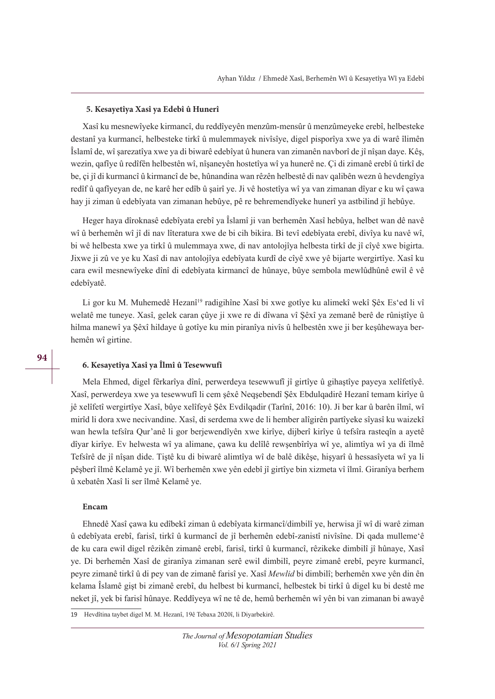### **5. Kesayetîya Xasî ya Edebî û Hunerî**

Xasî ku mesnewîyeke kirmancî, du reddîyeyên menzûm-mensûr û menzûmeyeke erebî, helbesteke destanî ya kurmancî, helbesteke tirkî û mulemmayek nivîsîye, digel pisporîya xwe ya di warê îlimên Îslamî de, wî şarezatîya xwe ya di biwarê edebîyat û hunera van zimanên navborî de jî nîşan daye. Kêş, wezin, qafîye û redîfên helbestên wî, nîşaneyên hostetîya wî ya hunerê ne. Çi di zimanê erebî û tirkî de be, çi jî di kurmancî û kirmancî de be, hûnandina wan rêzên helbestê di nav qalibên wezn û hevdengîya redîf û qafîyeyan de, ne karê her edîb û şairî ye. Ji vê hostetîya wî ya van zimanan dîyar e ku wî çawa hay ji ziman û edebîyata van zimanan hebûye, pê re behremendîyeke hunerî ya astbilind jî hebûye.

Heger haya dîroknasê edebîyata erebî ya Îslamî ji van berhemên Xasî hebûya, helbet wan dê navê wî û berhemên wî jî di nav lîteratura xwe de bi cih bikira. Bi tevî edebîyata erebî, divîya ku navê wî, bi wê helbesta xwe ya tirkî û mulemmaya xwe, di nav antolojîya helbesta tirkî de jî cîyê xwe bigirta. Jixwe ji zû ve ye ku Xasî di nav antolojîya edebîyata kurdî de cîyê xwe yê bijarte wergirtîye. Xasî ku cara ewil mesnewîyeke dînî di edebîyata kirmancî de hûnaye, bûye sembola mewlûdhûnê ewil ê vê edebîyatê.

Li gor ku M. Muhemedê Hezanî<sup>19</sup> radigihîne Xasî bi xwe gotîye ku alimekî wekî Şêx Es'ed li vî welatê me tuneye. Xasî, gelek caran çûye ji xwe re di dîwana vî Şêxî ya zemanê berê de rûniştîye û hilma manewî ya Şêxî hildaye û gotîye ku min piranîya nivîs û helbestên xwe ji ber keşûhewaya berhemên wî girtine.

## **6. Kesayetîya Xasî ya Îlmî û Tesewwufî**

Mela Ehmed, digel fêrkarîya dînî, perwerdeya tesewwufî jî girtîye û gihaştîye payeya xelîfetîyê. Xasî, perwerdeya xwe ya tesewwufî li cem şêxê Neqşebendî Şêx Ebdulqadirê Hezanî temam kirîye û jê xelîfetî wergirtîye Xasî, bûye xelîfeyê Şêx Evdilqadir (Tarînî, 2016: 10). Ji ber kar û barên îlmî, wî mirîd li dora xwe necivandine. Xasî, di serdema xwe de li hember alîgirên partîyeke sîyasî ku waizekî wan hewla tefsîra Qur'anê li gor berjewendîyên xwe kirîye, dijberî kirîye û tefsîra rasteqîn a ayetê dîyar kirîye. Ev helwesta wî ya alimane, çawa ku delîlê rewşenbîrîya wî ye, alimtîya wî ya di îlmê Tefsîrê de jî nîşan dide. Tiştê ku di biwarê alimtîya wî de balê dikêşe, hişyarî û hessasîyeta wî ya li pêşberî îlmê Kelamê ye jî. Wî berhemên xwe yên edebî jî girtîye bin xizmeta vî îlmî. Giranîya berhem û xebatên Xasî li ser îlmê Kelamê ye.

#### **Encam**

Ehnedê Xasî çawa ku edîbekî ziman û edebîyata kirmancî/dimbilî ye, herwisa jî wî di warê ziman û edebîyata erebî, farisî, tirkî û kurmancî de jî berhemên edebî-zanistî nivîsîne. Di qada mulleme'ê de ku cara ewil digel rêzikên zimanê erebî, farisî, tirkî û kurmancî, rêzikeke dimbilî jî hûnaye, Xasî ye. Di berhemên Xasî de giranîya zimanan serê ewil dimbilî, peyre zimanê erebî, peyre kurmancî, peyre zimanê tirkî û di pey van de zimanê farisî ye. Xasî *Mewlid* bi dimbilî; berhemên xwe yên din ên kelama Îslamê gişt bi zimanê erebî, du helbest bi kurmancî, helbestek bi tirkî û digel ku bi destê me neket jî, yek bi farisî hûnaye. Reddîyeya wî ne tê de, hemû berhemên wî yên bi van zimanan bi awayê

19 Hevdîtina taybet digel M. M. Hezanî, 19ê Tebaxa 2020î, li Diyarbekirê.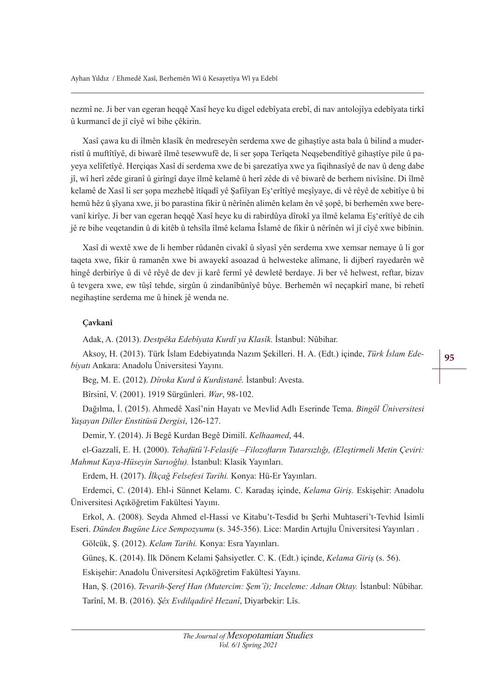nezmî ne. Ji ber van egeran heqqê Xasî heye ku digel edebîyata erebî, di nav antolojîya edebîyata tirkî û kurmancî de jî cîyê wî bihe çêkirin.

Xasî çawa ku di îlmên klasîk ên medreseyên serdema xwe de gihaştîye asta bala û bilind a muderristî û muftîtîyê, di biwarê îlmê tesewwufê de, li ser sopa Terîqeta Neqsebendîtîyê gihaştîye pile û payeya xelîfetîyê. Herçiqas Xasî di serdema xwe de bi şarezatîya xwe ya fiqihnasîyê de nav û deng dabe jî, wî herî zêde giranî û girîngî daye îlmê kelamê û herî zêde di vê biwarê de berhem nivîsîne. Di îlmê kelamê de Xasî li ser şopa mezhebê îtîqadî yê Şafiîyan Eş'erîtîyê meşîyaye, di vê rêyê de xebitîye û bi hemû hêz û şîyana xwe, ji bo parastina fikir û nêrînên alimên kelam ên vê şopê, bi berhemên xwe berevanî kirîye. Ji ber van egeran heqqê Xasî heye ku di rabirdûya dîrokî ya îlmê kelama Eş'erîtîyê de cih jê re bihe veqetandin û di kitêb û tehsîla îlmê kelama Îslamê de fikir û nêrînên wî jî cîyê xwe bibînin.

Xasî di wextê xwe de li hember rûdanên civakî û sîyasî yên serdema xwe xemsar nemaye û li gor taqeta xwe, fikir û ramanên xwe bi awayekî asoazad û helwesteke alîmane, li dijberî rayedarên wê hingê derbirîye û di vê rêyê de dev ji karê fermî yê dewletê berdaye. Ji ber vê helwest, reftar, bizav û tevgera xwe, ew tûşî tehde, sirgûn û zindanîbûnîyê bûye. Berhemên wî neçapkirî mane, bi rehetî negihaştine serdema me û hinek jê wenda ne.

# **Çavkanî**

Adak, A. (2013). *Destpêka Edebîyata Kurdî ya Klasîk*. İstanbul: Nûbihar.

Aksoy, H. (2013). Türk İslam Edebiyatında Nazım Şekilleri. H. A. (Edt.) içinde, Türk İslam Ede-*Ei\atÕ* Ankara: Anadolu Üniversitesi Yayını.

Beg, M. E. (2012). *Dîroka Kurd û Kurdistanê*. İstanbul: Avesta.

Bîrsinî, V. (2001). 1919 Sürgünleri. *War*, 98-102.

Dağılma, İ. (2015). Ahmedê Xasî'nin Hayatı ve Mevlid Adlı Eserinde Tema. *Bingöl Üniversitesi* Yaşayan Diller Enstitüsü Dergisi, 126-127.

Demir, Y. (2014). Ji Begê Kurdan Begê Dimilî. *Kelhaamed*, 44.

el-Gazzalî, E. H. (2000). *Tehafütü'l-Felasife -Filozofların Tutarsızlığı, (Eleştirmeli Metin Çeviri: Mahmut Kaya-Hüseyin Sarıoğlu).* İstanbul: Klasik Yayınları.

Erdem, H. (2017). İlkçağ Felsefesi Tarihi. Konya: Hü-Er Yayınları.

Erdemci, C. (2014). Ehl-i Sünnet Kelamı. C. Karadaş içinde, *Kelama Giriş*. Eskişehir: Anadolu Üniversitesi Açıköğretim Fakültesi Yayını.

Erkol, A. (2008). Seyda Ahmed el-Hassi ve Kitabu't-Tesdid bı Şerhi Muhtaseri't-Tevhid İsimli Eseri. *Dünden Bugüne Lice Sempozyumu* (s. 345-356). Lice: Mardin Artujlu Üniversitesi Yayınları .

Gölcük, Ş. (2012). *Kelam Tarihi*. Konya: Esra Yayınları.

Güneş, K. (2014). İlk Dönem Kelami Şahsiyetler. C. K. (Edt.) içinde, *Kelama Giriş* (s. 56).

Eskişehir: Anadolu Üniversitesi Açıköğretim Fakültesi Yayını.

Han, S. (2016). *Tevarih-Şeref Han (Mutercim: Şem'î); Inceleme: Adnan Oktay*. İstanbul: Nûbihar. Tarînî, M. B. (2016). *Şêx Evdilqadirê Hezanî*, Diyarbekir: Lîs.